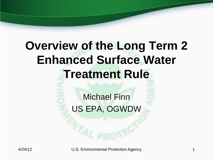# **Overview of the Long Term 2 Enhanced Surface Water Treatment Rule**

Michael Finn US EPA, OGWDW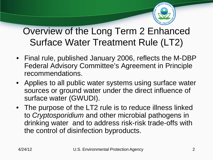

### Overview of the Long Term 2 Enhanced Surface Water Treatment Rule (LT2)

- Final rule, published January 2006, reflects the M-DBP Federal Advisory Committee's Agreement in Principle recommendations.
- Applies to all public water systems using surface water sources or ground water under the direct influence of surface water (GWUDI).
- The purpose of the LT2 rule is to reduce illness linked to *Cryptosporidium* and other microbial pathogens in drinking water and to address risk-risk trade-offs with the control of disinfection byproducts.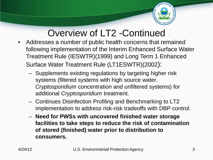

### Overview of LT2 -Continued

- Addresses a number of public health concerns that remained following implementation of the Interim Enhanced Surface Water Treatment Rule (IESWTR)(1999) and Long Term 1 Enhanced Surface Water Treatment Rule (LT1ESWTR)(2002):
	- Supplements existing regulations by targeting higher risk systems (filtered systems with high source water. *Cryptosporidium* concentration and unfiltered systems) for additional *Cryptosporidium* treatment.
	- Continues Disinfection Profiling and Benchmarking to LT2 implementation to address risk-risk tradeoffs with DBP control.
	- **Need for PWSs with uncovered finished water storage facilities to take steps to reduce the risk of contamination of stored (finished) water prior to distribution to consumers.**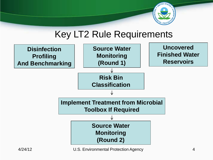

### Key LT2 Rule Requirements

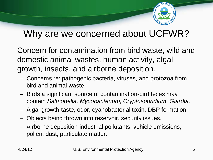

### Why are we concerned about UCFWR?

Concern for contamination from bird waste, wild and domestic animal wastes, human activity, algal growth, insects, and airborne deposition.

- Concerns re: pathogenic bacteria, viruses, and protozoa from bird and animal waste.
- Birds a significant source of contamination-bird feces may contain *Salmonella, Mycobacterium, Cryptosporidium, Giardia.*
- Algal growth-taste, odor, cyanobacterial toxin, DBP formation
- Objects being thrown into reservoir, security issues.
- Airborne deposition-industrial pollutants, vehicle emissions, pollen, dust, particulate matter.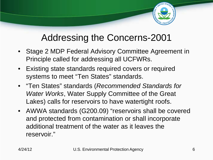

### Addressing the Concerns-2001

- Stage 2 MDP Federal Advisory Committee Agreement in Principle called for addressing all UCFWRs.
- Existing state standards required covers or required systems to meet "Ten States" standards.
- "Ten States" standards (*Recommended Standards for Water Works*, Water Supply Committee of the Great Lakes) calls for reservoirs to have watertight roofs.
- AWWA standards (G200.09) "reservoirs shall be covered and protected from contamination or shall incorporate additional treatment of the water as it leaves the reservoir."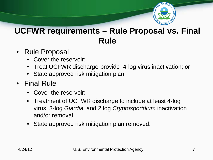

### **UCFWR requirements – Rule Proposal vs. Final Rule**

- Rule Proposal
	- Cover the reservoir;
	- Treat UCFWR discharge-provide 4-log virus inactivation; or
	- State approved risk mitigation plan.
- Final Rule
	- Cover the reservoir;
	- Treatment of UCFWR discharge to include at least 4-log virus, 3-log *Giardia*, and 2 log *Cryptosporidium* inactivation and/or removal.
	- State approved risk mitigation plan removed.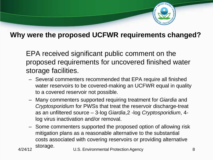

#### **Why were the proposed UCFWR requirements changed?**

EPA received significant public comment on the proposed requirements for uncovered finished water storage facilities.

- Several commenters recommended that EPA require all finished water reservoirs to be covered-making an UCFWR equal in quality to a covered reservoir not possible.
- Many commenters supported requiring treatment for *Giardia* and *Cryptosporidium* for PWSs that treat the reservoir discharge-treat as an unfiltered source – 3-log *Giardia*,2 -log *Cryptosporidium*, 4 log virus inactivation and/or removal.
- Some commenters supported the proposed option of allowing risk mitigation plans as a reasonable alternative to the substantial costs associated with covering reservoirs or providing alternative storage.<br>4/24/12 U.S. Environmental Protection Agency 8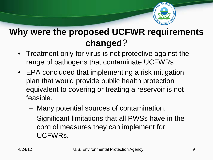

### **Why were the proposed UCFWR requirements changed**?

- Treatment only for virus is not protective against the range of pathogens that contaminate UCFWRs.
- EPA concluded that implementing a risk mitigation plan that would provide public health protection equivalent to covering or treating a reservoir is not feasible.
	- Many potential sources of contamination.
	- Significant limitations that all PWSs have in the control measures they can implement for UCFWRs.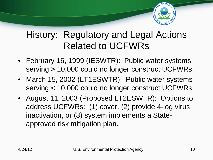

### History: Regulatory and Legal Actions Related to UCFWRs

- February 16, 1999 (IESWTR): Public water systems serving > 10,000 could no longer construct UCFWRs.
- March 15, 2002 (LT1ESWTR): Public water systems serving < 10,000 could no longer construct UCFWRs.
- August 11, 2003 (Proposed LT2ESWTR): Options to address UCFWRs: (1) cover, (2) provide 4-log virus inactivation, or (3) system implements a Stateapproved risk mitigation plan.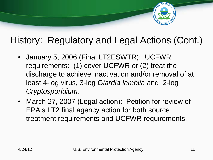

### History: Regulatory and Legal Actions (Cont.)

- January 5, 2006 (Final LT2ESWTR): UCFWR requirements: (1) cover UCFWR or (2) treat the discharge to achieve inactivation and/or removal of at least 4-log virus, 3-log *Giardia lamblia* and 2-log *Cryptosporidium.*
- March 27, 2007 (Legal action): Petition for review of EPA's LT2 final agency action for both source treatment requirements and UCFWR requirements.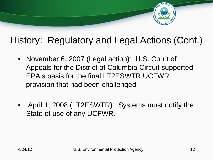

### History: Regulatory and Legal Actions (Cont.)

- November 6, 2007 (Legal action): U.S. Court of Appeals for the District of Columbia Circuit supported EPA's basis for the final LT2ESWTR UCFWR provision that had been challenged.
- April 1, 2008 (LT2ESWTR): Systems must notify the State of use of any UCFWR.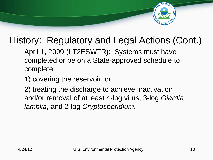

### History: Regulatory and Legal Actions (Cont.)

- April 1, 2009 (LT2ESWTR): Systems must have completed or be on a State-approved schedule to complete
- 1) covering the reservoir, or
- 2) treating the discharge to achieve inactivation and/or removal of at least 4-log virus, 3-log *Giardia lamblia*, and 2-log *Cryptosporidium.*